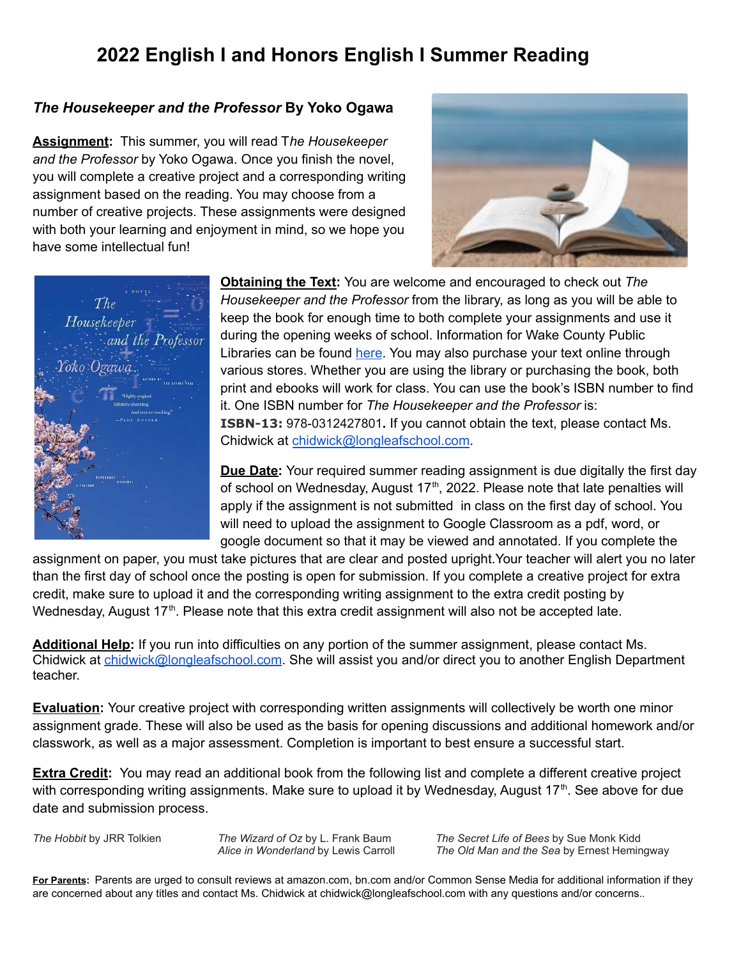# **2022 English I and Honors English I Summer Reading**

# *The Housekeeper and the Professor* **By Yoko Ogawa**

**Assignment:** This summer, you will read T*he Housekeeper and the Professor* by Yoko Ogawa. Once you finish the novel, you will complete a creative project and a corresponding writing assignment based on the reading. You may choose from a number of creative projects. These assignments were designed with both your learning and enjoyment in mind, so we hope you have some intellectual fun!





**Obtaining the Text:** You are welcome and encouraged to check out *The Housekeeper and the Professor* from the library, as long as you will be able to keep the book for enough time to both complete your assignments and use it during the opening weeks of school. Information for Wake County Public Libraries can be found [here](https://catalog.wakegov.com/). You may also purchase your text online through various stores. Whether you are using the library or purchasing the book, both print and ebooks will work for class. You can use the book's ISBN number to find it. One ISBN number for *The Housekeeper and the Professor* is: **ISBN-13:** 978-0312427801**.** If you cannot obtain the text, please contact Ms. Chidwick at [chidwick@longleafschool.com](mailto:chidwick@longleafschool.com).

**Due Date:** Your required summer reading assignment is due digitally the first day of school on Wednesday, August 17<sup>th</sup>, 2022. Please note that late penalties will apply if the assignment is not submitted in class on the first day of school. You will need to upload the assignment to Google Classroom as a pdf, word, or google document so that it may be viewed and annotated. If you complete the

assignment on paper, you must take pictures that are clear and posted upright.Your teacher will alert you no later than the first day of school once the posting is open for submission. If you complete a creative project for extra credit, make sure to upload it and the corresponding writing assignment to the extra credit posting by Wednesday, August 17<sup>th</sup>. Please note that this extra credit assignment will also not be accepted late.

**Additional Help:** If you run into difficulties on any portion of the summer assignment, please contact Ms. Chidwick at [chidwick@longleafschool.com](mailto:chidwick@longleafschool.com). She will assist you and/or direct you to another English Department teacher.

**Evaluation:** Your creative project with corresponding written assignments will collectively be worth one minor assignment grade. These will also be used as the basis for opening discussions and additional homework and/or classwork, as well as a major assessment. Completion is important to best ensure a successful start.

**Extra Credit:** You may read an additional book from the following list and complete a different creative project with corresponding writing assignments. Make sure to upload it by Wednesday, August 17<sup>th</sup>. See above for due date and submission process.

*The Hobbit* by JRR Tolkien *The Wizard of Oz* by L. Frank Baum *The Secret Life of Bees* by Sue Monk Kidd *Alice in Wonderland* by Lewis Carroll *The Old Man and the Sea* by Ernest Hemingway

**For Parents:** Parents are urged to consult reviews at amazon.com, bn.com and/or Common Sense Media for additional information if they are concerned about any titles and contact Ms. Chidwick at chidwick@longleafschool.com with any questions and/or concerns..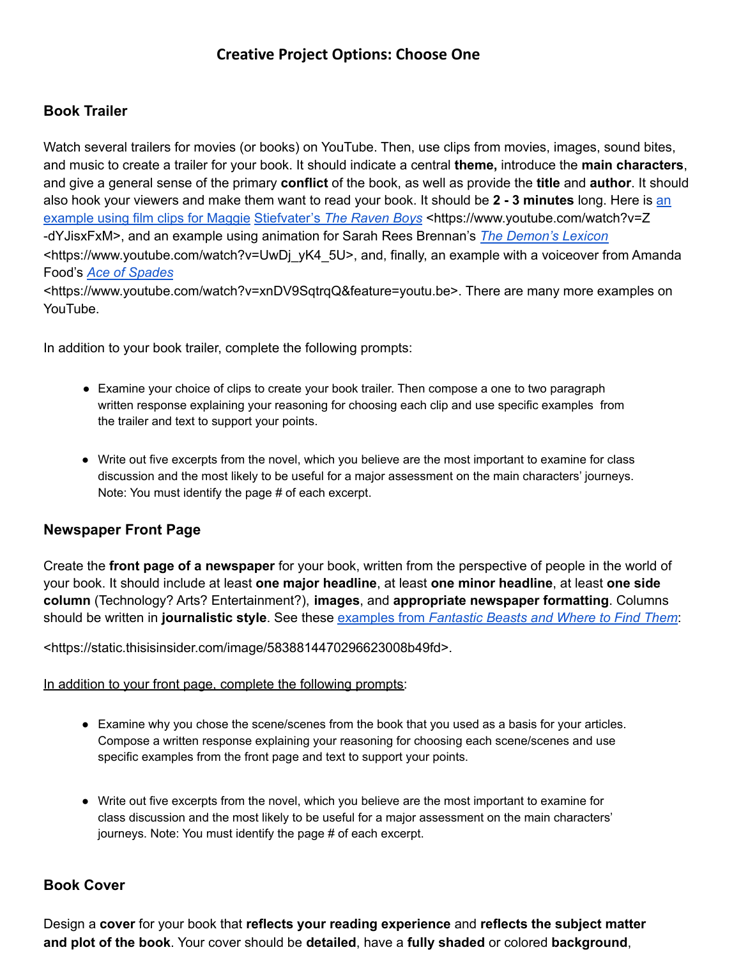# **Book Trailer**

Watch several trailers for movies (or books) on YouTube. Then, use clips from movies, images, sound bites, and music to create a trailer for your book. It should indicate a central **theme,** introduce the **main characters**, and give a general sense of the primary **conflict** of the book, as well as provide the **title** and **author**. It should also hook your viewers and make them want to read your book. It should be **2 - 3 minutes** long. Here is an example using film clips for Maggie [Stiefvater'](https://www.youtube.com/watch?v=Z-dYJisxFxM)s *The [Raven](https://www.youtube.com/watch?v=Z-dYJisxFxM) Boys* [<https://www.youtube.com/watch?v=Z](http://www.youtube.com/watch?v=Z) -dYJisxFxM>, and an example using animation for Sarah Rees Brennan's *The [Demon's](https://www.youtube.com/watch?v=UwDj_yK4_5U) Lexicon* [<https://www.youtube.com/watch?v=UwDj\\_](http://www.youtube.com/watch?v=UwDj_yK4_5U)yK4\_5U>, and, finally, an example with a voiceover from Amanda Food's *Ace of [Spades](https://www.youtube.com/watch?v=xnDV9SqtrqQ&feature=youtu.be)*

[<https://www.youtube.com/watch?v=xnDV9SqtrqQ&feature=youtu.be>.](http://www.youtube.com/watch?v=xnDV9SqtrqQ&feature=youtu.be) There are many more examples on YouTube.

In addition to your book trailer, complete the following prompts:

- Examine your choice of clips to create your book trailer. Then compose a one to two paragraph written response explaining your reasoning for choosing each clip and use specific examples from the trailer and text to support your points.
- Write out five excerpts from the novel, which you believe are the most important to examine for class discussion and the most likely to be useful for a major assessment on the main characters' journeys. Note: You must identify the page # of each excerpt.

### **Newspaper Front Page**

Create the **front page of a newspaper** for your book, written from the perspective of people in the world of your book. It should include at least **one major headline**, at least **one minor headline**, at least **one side column** (Technology? Arts? Entertainment?), **images**, and **appropriate newspaper formatting**. Columns should be written in **journalistic style**. See these [examples](https://static.thisisinsider.com/image/5838814470296623008b49fd) from *[Fantastic](https://static.thisisinsider.com/image/5838814470296623008b49fd) Beasts and Where to Find Them*:

<https://static.thisisinsider.com/image/5838814470296623008b49fd>.

### In addition to your front page, complete the following prompts:

- Examine why you chose the scene/scenes from the book that you used as a basis for your articles. Compose a written response explaining your reasoning for choosing each scene/scenes and use specific examples from the front page and text to support your points.
- Write out five excerpts from the novel, which you believe are the most important to examine for class discussion and the most likely to be useful for a major assessment on the main characters' journeys. Note: You must identify the page # of each excerpt.

### **Book Cover**

Design a **cover** for your book that **reflects your reading experience** and **reflects the subject matter and plot of the book**. Your cover should be **detailed**, have a **fully shaded** or colored **background**,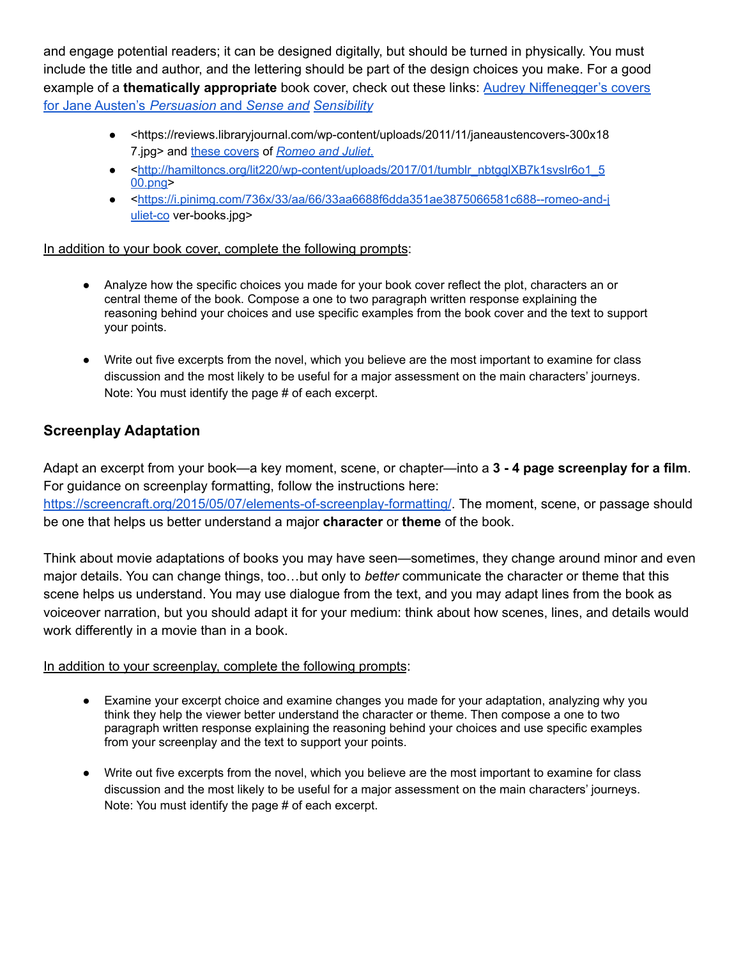and engage potential readers; it can be designed digitally, but should be turned in physically. You must include the title and author, and the lettering should be part of the design choices you make. For a good example of a **thematically appropriate** book cover, check out these links: Audrey [Niffenegger's](https://reviews.libraryjournal.com/wp-content/uploads/2011/11/janeaustencovers-300x187.jpg) covers for Jane Austen's *[Persuasion](https://reviews.libraryjournal.com/wp-content/uploads/2011/11/janeaustencovers-300x187.jpg)* and *[Sense](https://reviews.libraryjournal.com/wp-content/uploads/2011/11/janeaustencovers-300x187.jpg) and [Sensibility](https://reviews.libraryjournal.com/wp-content/uploads/2011/11/janeaustencovers-300x187.jpg)*

- <https://reviews.libraryjournal.com/wp-content/uploads/2011/11/janeaustencovers-300x18 7.jpg> and these [covers](http://hamiltoncs.org/lit220/wp-content/uploads/2017/01/tumblr_nbtgglXB7k1svslr6o1_500.png) of *[Romeo](https://i.pinimg.com/736x/33/aa/66/33aa6688f6dda351ae3875066581c688--romeo-and-juliet-cover-books.jpg) and Juliet*.
- <[http://hamiltoncs.org/lit220/wp-content/uploads/2017/01/tumblr\\_nbtgglXB7k1svslr6o1\\_5](http://hamiltoncs.org/lit220/wp-content/uploads/2017/01/tumblr_nbtgglXB7k1svslr6o1_500.png) [00.png>](http://hamiltoncs.org/lit220/wp-content/uploads/2017/01/tumblr_nbtgglXB7k1svslr6o1_500.png)
- <[https://i.pinimg.com/736x/33/aa/66/33aa6688f6dda351ae3875066581c688--romeo-and-j](https://i.pinimg.com/736x/33/aa/66/33aa6688f6dda351ae3875066581c688--romeo-and-juliet-co) [uliet-co](https://i.pinimg.com/736x/33/aa/66/33aa6688f6dda351ae3875066581c688--romeo-and-juliet-co) ver-books.jpg>

### In addition to your book cover, complete the following prompts:

- Analyze how the specific choices you made for your book cover reflect the plot, characters an or central theme of the book. Compose a one to two paragraph written response explaining the reasoning behind your choices and use specific examples from the book cover and the text to support your points.
- Write out five excerpts from the novel, which you believe are the most important to examine for class discussion and the most likely to be useful for a major assessment on the main characters' journeys. Note: You must identify the page # of each excerpt.

# **Screenplay Adaptation**

Adapt an excerpt from your book—a key moment, scene, or chapter—into a **3 - 4 page screenplay for a film**. For guidance on screenplay formatting, follow the instructions here: <https://screencraft.org/2015/05/07/elements-of-screenplay-formatting/>. The moment, scene, or passage should be one that helps us better understand a major **character** or **theme** of the book.

Think about movie adaptations of books you may have seen—sometimes, they change around minor and even major details. You can change things, too…but only to *better* communicate the character or theme that this scene helps us understand. You may use dialogue from the text, and you may adapt lines from the book as voiceover narration, but you should adapt it for your medium: think about how scenes, lines, and details would work differently in a movie than in a book.

### In addition to your screenplay, complete the following prompts:

- Examine your excerpt choice and examine changes you made for your adaptation, analyzing why you think they help the viewer better understand the character or theme. Then compose a one to two paragraph written response explaining the reasoning behind your choices and use specific examples from your screenplay and the text to support your points.
- Write out five excerpts from the novel, which you believe are the most important to examine for class discussion and the most likely to be useful for a major assessment on the main characters' journeys. Note: You must identify the page # of each excerpt.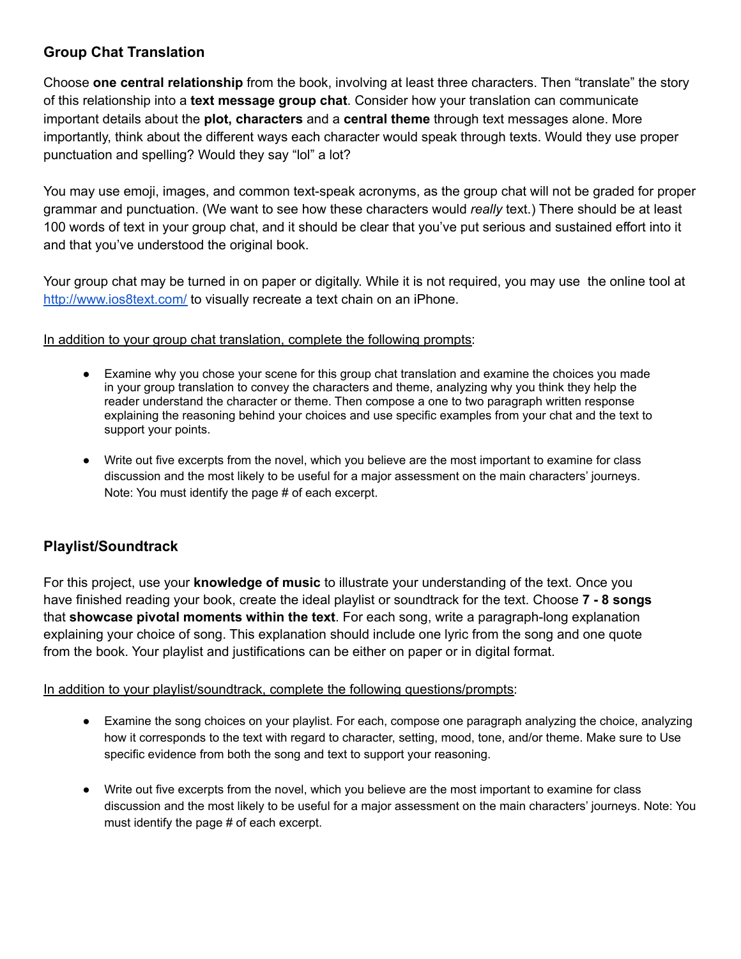# **Group Chat Translation**

Choose **one central relationship** from the book, involving at least three characters. Then "translate" the story of this relationship into a **text message group chat**. Consider how your translation can communicate important details about the **plot, characters** and a **central theme** through text messages alone. More importantly, think about the different ways each character would speak through texts. Would they use proper punctuation and spelling? Would they say "lol" a lot?

You may use emoji, images, and common text-speak acronyms, as the group chat will not be graded for proper grammar and punctuation. (We want to see how these characters would *really* text.) There should be at least 100 words of text in your group chat, and it should be clear that you've put serious and sustained effort into it and that you've understood the original book.

Your group chat may be turned in on paper or digitally. While it is not required, you may use the online tool at <http://www.ios8text.com/> to visually recreate a text chain on an iPhone.

In addition to your group chat translation, complete the following prompts:

- Examine why you chose your scene for this group chat translation and examine the choices you made in your group translation to convey the characters and theme, analyzing why you think they help the reader understand the character or theme. Then compose a one to two paragraph written response explaining the reasoning behind your choices and use specific examples from your chat and the text to support your points.
- Write out five excerpts from the novel, which you believe are the most important to examine for class discussion and the most likely to be useful for a major assessment on the main characters' journeys. Note: You must identify the page # of each excerpt.

# **Playlist/Soundtrack**

For this project, use your **knowledge of music** to illustrate your understanding of the text. Once you have finished reading your book, create the ideal playlist or soundtrack for the text. Choose **7 - 8 songs** that **showcase pivotal moments within the text**. For each song, write a paragraph-long explanation explaining your choice of song. This explanation should include one lyric from the song and one quote from the book. Your playlist and justifications can be either on paper or in digital format.

In addition to your playlist/soundtrack, complete the following questions/prompts:

- Examine the song choices on your playlist. For each, compose one paragraph analyzing the choice, analyzing how it corresponds to the text with regard to character, setting, mood, tone, and/or theme. Make sure to Use specific evidence from both the song and text to support your reasoning.
- Write out five excerpts from the novel, which you believe are the most important to examine for class discussion and the most likely to be useful for a major assessment on the main characters' journeys. Note: You must identify the page # of each excerpt.